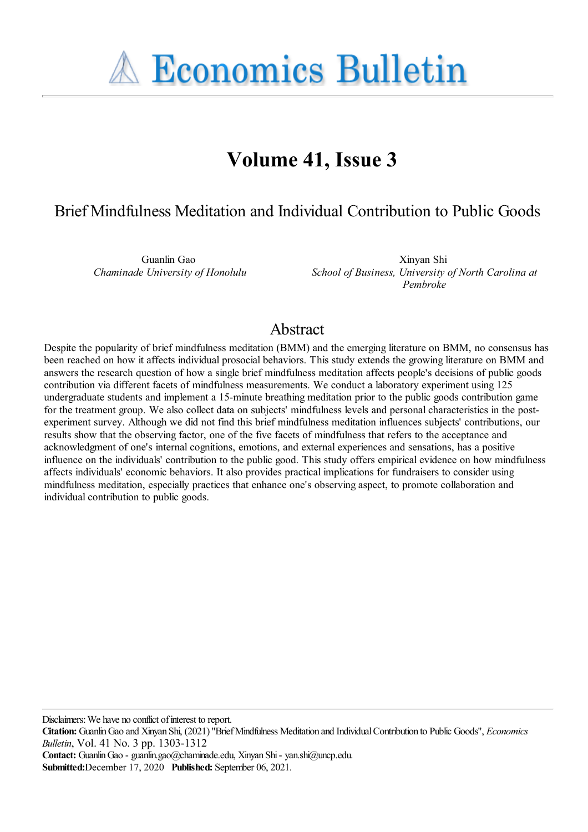**A Economics Bulletin** 

# **Volume 41, Issue 3**

# Brief Mindfulness Meditation and Individual Contribution to Public Goods

Guanlin Gao *Chaminade University of Honolulu*

Xinyan Shi *School of Business, University of North Carolina at Pembroke*

## Abstract

Despite the popularity of brief mindfulness meditation (BMM) and the emerging literature on BMM, no consensus has been reached on how it affects individual prosocial behaviors. This study extends the growing literature on BMM and answers the research question of how a single brief mindfulness meditation affects people's decisions of public goods contribution via different facets of mindfulness measurements. We conduct a laboratory experiment using 125 undergraduate students and implement a 15-minute breathing meditation prior to the public goods contribution game for the treatment group. We also collect data on subjects' mindfulness levels and personal characteristics in the postexperiment survey. Although we did not find this brief mindfulness meditation influences subjects' contributions, our results show that the observing factor, one of the five facets of mindfulness that refers to the acceptance and acknowledgment of one's internal cognitions, emotions, and external experiences and sensations, has a positive influence on the individuals' contribution to the public good. This study offers empirical evidence on how mindfulness affects individuals' economic behaviors. It also provides practical implications for fundraisers to consider using mindfulness meditation, especially practices that enhance one's observing aspect, to promote collaboration and individual contribution to public goods.

Disclaimers: We have no conflict of interest to report.

**Citation:** GuanlinGao and Xinyan Shi, (2021) ''BriefMindfulness Meditation and IndividualContribution to Public Goods'', *Economics Bulletin*, Vol. 41 No. 3 pp. 1303-1312

**Contact:** GuanlinGao - guanlin.gao@chaminade.edu, Xinyan Shi- yan.shi@uncp.edu.

**Submitted:**December 17, 2020 **Published:** September 06, 2021.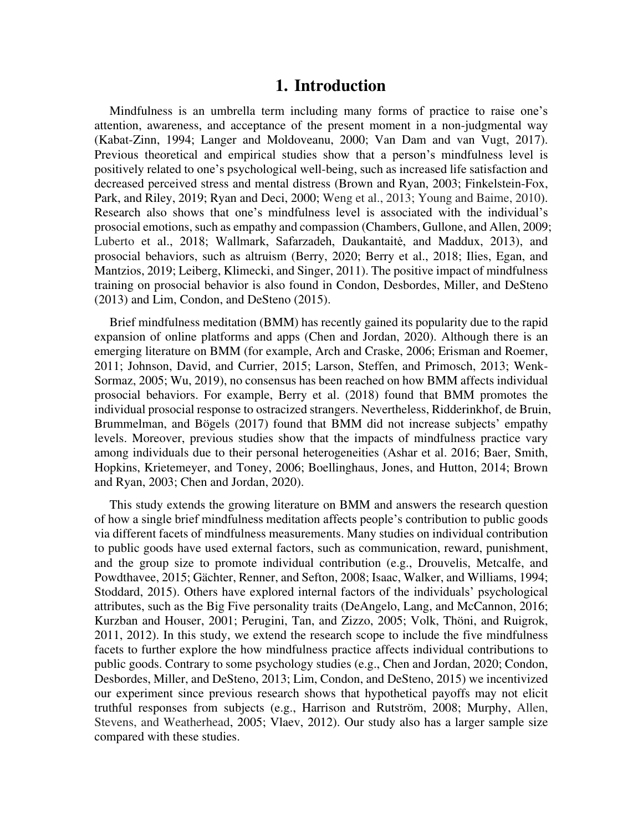#### **1. Introduction**

Mindfulness is an umbrella term including many forms of practice to raise one's attention, awareness, and acceptance of the present moment in a non-judgmental way (Kabat-Zinn, 1994; Langer and Moldoveanu, 2000; Van Dam and van Vugt, 2017). Previous theoretical and empirical studies show that a person's mindfulness level is positively related to one's psychological well-being, such as increased life satisfaction and decreased perceived stress and mental distress (Brown and Ryan, 2003; Finkelstein-Fox, Park, and Riley, 2019; Ryan and Deci, 2000; Weng et al., 2013; Young and Baime, 2010). Research also shows that one's mindfulness level is associated with the individual's prosocial emotions, such as empathy and compassion (Chambers, Gullone, and Allen, 2009; Luberto et al., 2018; Wallmark, Safarzadeh, Daukantaitė, and Maddux, 2013), and prosocial behaviors, such as altruism (Berry, 2020; Berry et al., 2018; Ilies, Egan, and Mantzios, 2019; Leiberg, Klimecki, and Singer, 2011). The positive impact of mindfulness training on prosocial behavior is also found in Condon, Desbordes, Miller, and DeSteno (2013) and Lim, Condon, and DeSteno (2015).

Brief mindfulness meditation (BMM) has recently gained its popularity due to the rapid expansion of online platforms and apps (Chen and Jordan, 2020). Although there is an emerging literature on BMM (for example, Arch and Craske, 2006; Erisman and Roemer, 2011; Johnson, David, and Currier, 2015; Larson, Steffen, and Primosch, 2013; Wenk-Sormaz, 2005; Wu, 2019), no consensus has been reached on how BMM affects individual prosocial behaviors. For example, Berry et al. (2018) found that BMM promotes the individual prosocial response to ostracized strangers. Nevertheless, Ridderinkhof, de Bruin, Brummelman, and Bögels (2017) found that BMM did not increase subjects' empathy levels. Moreover, previous studies show that the impacts of mindfulness practice vary among individuals due to their personal heterogeneities (Ashar et al. 2016; Baer, Smith, Hopkins, Krietemeyer, and Toney, 2006; Boellinghaus, Jones, and Hutton, 2014; Brown and Ryan, 2003; Chen and Jordan, 2020).

This study extends the growing literature on BMM and answers the research question of how a single brief mindfulness meditation affects people's contribution to public goods via different facets of mindfulness measurements. Many studies on individual contribution to public goods have used external factors, such as communication, reward, punishment, and the group size to promote individual contribution (e.g., Drouvelis, Metcalfe, and Powdthavee, 2015; Gächter, Renner, and Sefton, 2008; Isaac, Walker, and Williams, 1994; Stoddard, 2015). Others have explored internal factors of the individuals' psychological attributes, such as the Big Five personality traits (DeAngelo, Lang, and McCannon, 2016; Kurzban and Houser, 2001; Perugini, Tan, and Zizzo, 2005; Volk, Thöni, and Ruigrok, 2011, 2012). In this study, we extend the research scope to include the five mindfulness facets to further explore the how mindfulness practice affects individual contributions to public goods. Contrary to some psychology studies (e.g., Chen and Jordan, 2020; Condon, Desbordes, Miller, and DeSteno, 2013; Lim, Condon, and DeSteno, 2015) we incentivized our experiment since previous research shows that hypothetical payoffs may not elicit truthful responses from subjects (e.g., Harrison and Rutström, 2008; Murphy, Allen, Stevens, and Weatherhead, 2005; Vlaev, 2012). Our study also has a larger sample size compared with these studies.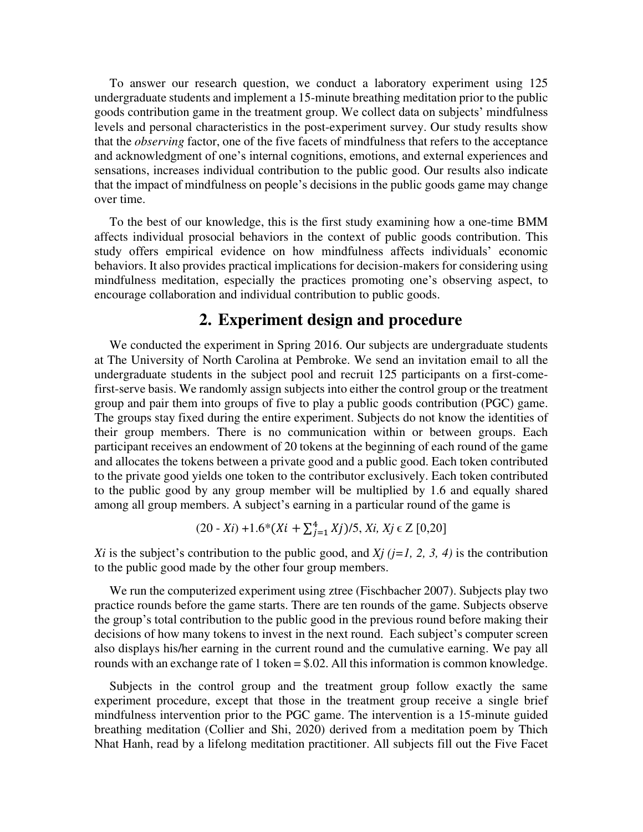To answer our research question, we conduct a laboratory experiment using 125 undergraduate students and implement a 15-minute breathing meditation prior to the public goods contribution game in the treatment group. We collect data on subjects' mindfulness levels and personal characteristics in the post-experiment survey. Our study results show that the *observing* factor, one of the five facets of mindfulness that refers to the acceptance and acknowledgment of one's internal cognitions, emotions, and external experiences and sensations, increases individual contribution to the public good. Our results also indicate that the impact of mindfulness on people's decisions in the public goods game may change over time.

To the best of our knowledge, this is the first study examining how a one-time BMM affects individual prosocial behaviors in the context of public goods contribution. This study offers empirical evidence on how mindfulness affects individuals' economic behaviors. It also provides practical implications for decision-makers for considering using mindfulness meditation, especially the practices promoting one's observing aspect, to encourage collaboration and individual contribution to public goods.

### **2. Experiment design and procedure**

We conducted the experiment in Spring 2016. Our subjects are undergraduate students at The University of North Carolina at Pembroke. We send an invitation email to all the undergraduate students in the subject pool and recruit 125 participants on a first-comefirst-serve basis. We randomly assign subjects into either the control group or the treatment group and pair them into groups of five to play a public goods contribution (PGC) game. The groups stay fixed during the entire experiment. Subjects do not know the identities of their group members. There is no communication within or between groups. Each participant receives an endowment of 20 tokens at the beginning of each round of the game and allocates the tokens between a private good and a public good. Each token contributed to the private good yields one token to the contributor exclusively. Each token contributed to the public good by any group member will be multiplied by 1.6 and equally shared among all group members. A subject's earning in a particular round of the game is

$$
(20 - Xi) + 1.6*(Xi + \sum_{j=1}^{4} Xj)/5, Xi, Xj \in Z [0,20]
$$

*Xi* is the subject's contribution to the public good, and *Xj* ( $j=1, 2, 3, 4$ ) is the contribution to the public good made by the other four group members.

We run the computerized experiment using ztree (Fischbacher 2007). Subjects play two practice rounds before the game starts. There are ten rounds of the game. Subjects observe the group's total contribution to the public good in the previous round before making their decisions of how many tokens to invest in the next round. Each subject's computer screen also displays his/her earning in the current round and the cumulative earning. We pay all rounds with an exchange rate of 1 token = \$.02. All this information is common knowledge.

Subjects in the control group and the treatment group follow exactly the same experiment procedure, except that those in the treatment group receive a single brief mindfulness intervention prior to the PGC game. The intervention is a 15-minute guided breathing meditation (Collier and Shi, 2020) derived from a meditation poem by Thich Nhat Hanh, read by a lifelong meditation practitioner. All subjects fill out the Five Facet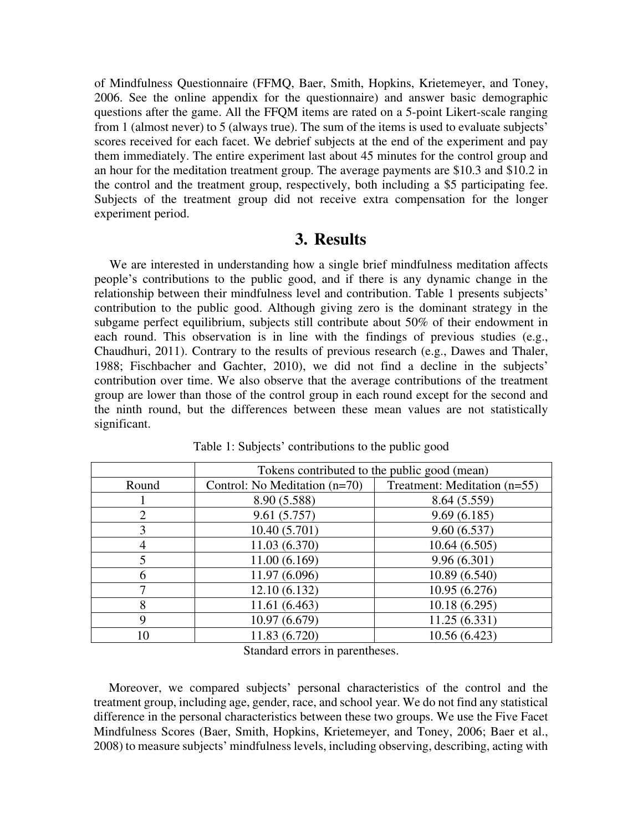of Mindfulness Questionnaire (FFMQ, Baer, Smith, Hopkins, Krietemeyer, and Toney, 2006. See the online appendix for the questionnaire) and answer basic demographic questions after the game. All the FFQM items are rated on a 5-point Likert-scale ranging from 1 (almost never) to 5 (always true). The sum of the items is used to evaluate subjects' scores received for each facet. We debrief subjects at the end of the experiment and pay them immediately. The entire experiment last about 45 minutes for the control group and an hour for the meditation treatment group. The average payments are \$10.3 and \$10.2 in the control and the treatment group, respectively, both including a \$5 participating fee. Subjects of the treatment group did not receive extra compensation for the longer experiment period.

#### **3. Results**

We are interested in understanding how a single brief mindfulness meditation affects people's contributions to the public good, and if there is any dynamic change in the relationship between their mindfulness level and contribution. Table 1 presents subjects' contribution to the public good. Although giving zero is the dominant strategy in the subgame perfect equilibrium, subjects still contribute about 50% of their endowment in each round. This observation is in line with the findings of previous studies (e.g., Chaudhuri, 2011). Contrary to the results of previous research (e.g., Dawes and Thaler, 1988; Fischbacher and Gachter, 2010), we did not find a decline in the subjects' contribution over time. We also observe that the average contributions of the treatment group are lower than those of the control group in each round except for the second and the ninth round, but the differences between these mean values are not statistically significant.

|                | Tokens contributed to the public good (mean) |                              |  |  |
|----------------|----------------------------------------------|------------------------------|--|--|
| Round          | Control: No Meditation (n=70)                | Treatment: Meditation (n=55) |  |  |
|                | 8.90 (5.588)                                 | 8.64 (5.559)                 |  |  |
| $\overline{2}$ | 9.61(5.757)                                  | 9.69(6.185)                  |  |  |
| 3              | 10.40(5.701)                                 | 9.60(6.537)                  |  |  |
| 4              | 11.03 (6.370)                                | 10.64(6.505)                 |  |  |
| 5              | 11.00(6.169)                                 | 9.96(6.301)                  |  |  |
| 6              | 11.97 (6.096)                                | 10.89 (6.540)                |  |  |
| 7              | 12.10(6.132)                                 | 10.95 (6.276)                |  |  |
| 8              | 11.61 (6.463)                                | 10.18(6.295)                 |  |  |
| 9              | 10.97 (6.679)                                | 11.25(6.331)                 |  |  |
| 10             | 11.83 (6.720)                                | 10.56 (6.423)                |  |  |

Table 1: Subjects' contributions to the public good

Standard errors in parentheses.

Moreover, we compared subjects' personal characteristics of the control and the treatment group, including age, gender, race, and school year. We do not find any statistical difference in the personal characteristics between these two groups. We use the Five Facet Mindfulness Scores (Baer, Smith, Hopkins, Krietemeyer, and Toney, 2006; Baer et al., 2008) to measure subjects' mindfulness levels, including observing, describing, acting with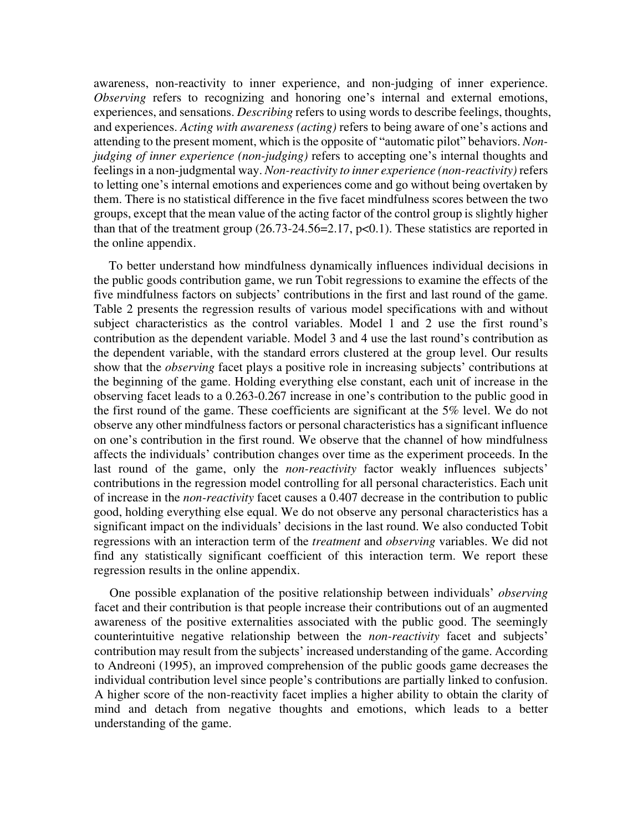awareness, non-reactivity to inner experience, and non-judging of inner experience. *Observing* refers to recognizing and honoring one's internal and external emotions, experiences, and sensations. *Describing* refers to using words to describe feelings, thoughts, and experiences. *Acting with awareness (acting)* refers to being aware of one's actions and attending to the present moment, which is the opposite of "automatic pilot" behaviors. *Nonjudging of inner experience (non-judging)* refers to accepting one's internal thoughts and feelings in a non-judgmental way. *Non-reactivity to inner experience (non-reactivity)* refers to letting one's internal emotions and experiences come and go without being overtaken by them. There is no statistical difference in the five facet mindfulness scores between the two groups, except that the mean value of the acting factor of the control group is slightly higher than that of the treatment group  $(26.73-24.56=2.17, p<0.1)$ . These statistics are reported in the online appendix.

To better understand how mindfulness dynamically influences individual decisions in the public goods contribution game, we run Tobit regressions to examine the effects of the five mindfulness factors on subjects' contributions in the first and last round of the game. Table 2 presents the regression results of various model specifications with and without subject characteristics as the control variables. Model 1 and 2 use the first round's contribution as the dependent variable. Model 3 and 4 use the last round's contribution as the dependent variable, with the standard errors clustered at the group level. Our results show that the *observing* facet plays a positive role in increasing subjects' contributions at the beginning of the game. Holding everything else constant, each unit of increase in the observing facet leads to a 0.263-0.267 increase in one's contribution to the public good in the first round of the game. These coefficients are significant at the 5% level. We do not observe any other mindfulness factors or personal characteristics has a significant influence on one's contribution in the first round. We observe that the channel of how mindfulness affects the individuals' contribution changes over time as the experiment proceeds. In the last round of the game, only the *non-reactivity* factor weakly influences subjects' contributions in the regression model controlling for all personal characteristics. Each unit of increase in the *non-reactivity* facet causes a 0.407 decrease in the contribution to public good, holding everything else equal. We do not observe any personal characteristics has a significant impact on the individuals' decisions in the last round. We also conducted Tobit regressions with an interaction term of the *treatment* and *observing* variables. We did not find any statistically significant coefficient of this interaction term. We report these regression results in the online appendix.

One possible explanation of the positive relationship between individuals' *observing* facet and their contribution is that people increase their contributions out of an augmented awareness of the positive externalities associated with the public good. The seemingly counterintuitive negative relationship between the *non-reactivity* facet and subjects' contribution may result from the subjects' increased understanding of the game. According to Andreoni (1995), an improved comprehension of the public goods game decreases the individual contribution level since people's contributions are partially linked to confusion. A higher score of the non-reactivity facet implies a higher ability to obtain the clarity of mind and detach from negative thoughts and emotions, which leads to a better understanding of the game.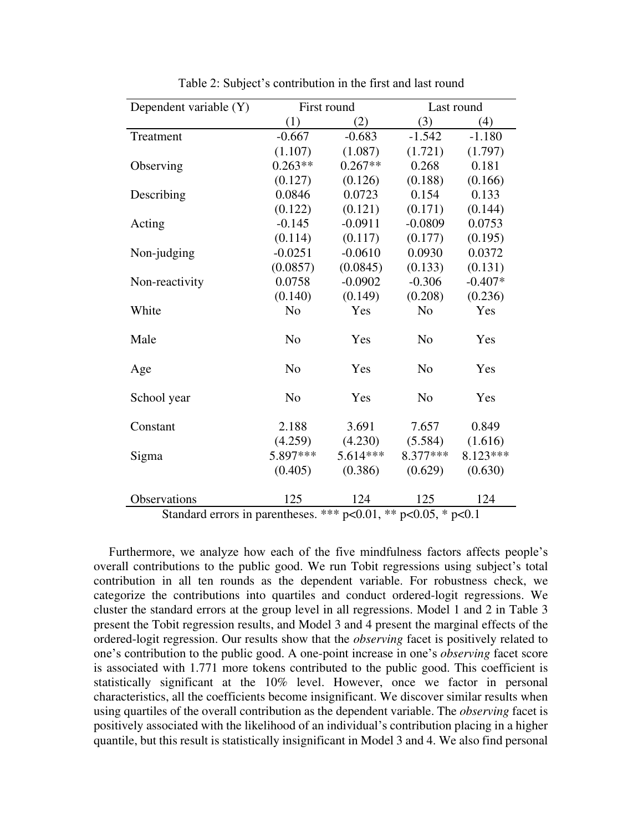| Dependent variable (Y)                 | First round    |                              | Last round      |              |  |
|----------------------------------------|----------------|------------------------------|-----------------|--------------|--|
|                                        | (1)            | (2)                          | (3)             | (4)          |  |
| Treatment                              | $-0.667$       | $-0.683$                     | $-1.542$        | $-1.180$     |  |
|                                        | (1.107)        | (1.087)                      | (1.721)         | (1.797)      |  |
| Observing                              | $0.263**$      | $0.267**$                    | 0.268           | 0.181        |  |
|                                        | (0.127)        | (0.126)                      | (0.188)         | (0.166)      |  |
| Describing                             | 0.0846         | 0.0723                       | 0.154           | 0.133        |  |
|                                        | (0.122)        | (0.121)                      | (0.171)         | (0.144)      |  |
| Acting                                 | $-0.145$       | $-0.0911$                    | $-0.0809$       | 0.0753       |  |
|                                        | (0.114)        | (0.117)                      | (0.177)         | (0.195)      |  |
| Non-judging                            | $-0.0251$      | $-0.0610$                    | 0.0930          | 0.0372       |  |
|                                        | (0.0857)       | (0.0845)                     | (0.133)         | (0.131)      |  |
| Non-reactivity                         | 0.0758         | $-0.0902$                    | $-0.306$        | $-0.407*$    |  |
|                                        | (0.140)        | (0.149)                      | (0.208)         | (0.236)      |  |
| White                                  | N <sub>o</sub> | Yes                          | N <sub>o</sub>  | Yes          |  |
| Male                                   | N <sub>o</sub> | Yes                          | N <sub>o</sub>  | Yes          |  |
| Age                                    | N <sub>o</sub> | Yes                          | N <sub>o</sub>  | Yes          |  |
| School year                            | N <sub>o</sub> | Yes                          | N <sub>o</sub>  | Yes          |  |
| Constant                               | 2.188          | 3.691                        | 7.657           | 0.849        |  |
|                                        | (4.259)        | (4.230)                      | (5.584)         | (1.616)      |  |
| Sigma                                  | 5.897***       | $5.614***$                   | 8.377***        | 8.123***     |  |
|                                        | (0.405)        | (0.386)                      | (0.629)         | (0.630)      |  |
| Observations                           | 125            | 124                          | 125             | 124          |  |
| $\bullet$<br>$\mathbf{1}$ $\mathbf{1}$ | $\cdot$ 1      | أأمله مله مله<br>$0.01$ $Wb$ | $0.05 \times 1$ | $\mathbf{A}$ |  |

Table 2: Subject's contribution in the first and last round

Standard errors in parentheses. \*\*\*  $p<0.01$ , \*\*  $p<0.05$ , \*  $p<0.1$ 

Furthermore, we analyze how each of the five mindfulness factors affects people's overall contributions to the public good. We run Tobit regressions using subject's total contribution in all ten rounds as the dependent variable. For robustness check, we categorize the contributions into quartiles and conduct ordered-logit regressions. We cluster the standard errors at the group level in all regressions. Model 1 and 2 in Table 3 present the Tobit regression results, and Model 3 and 4 present the marginal effects of the ordered-logit regression. Our results show that the *observing* facet is positively related to one's contribution to the public good. A one-point increase in one's *observing* facet score is associated with 1.771 more tokens contributed to the public good. This coefficient is statistically significant at the 10% level. However, once we factor in personal characteristics, all the coefficients become insignificant. We discover similar results when using quartiles of the overall contribution as the dependent variable. The *observing* facet is positively associated with the likelihood of an individual's contribution placing in a higher quantile, but this result is statistically insignificant in Model 3 and 4. We also find personal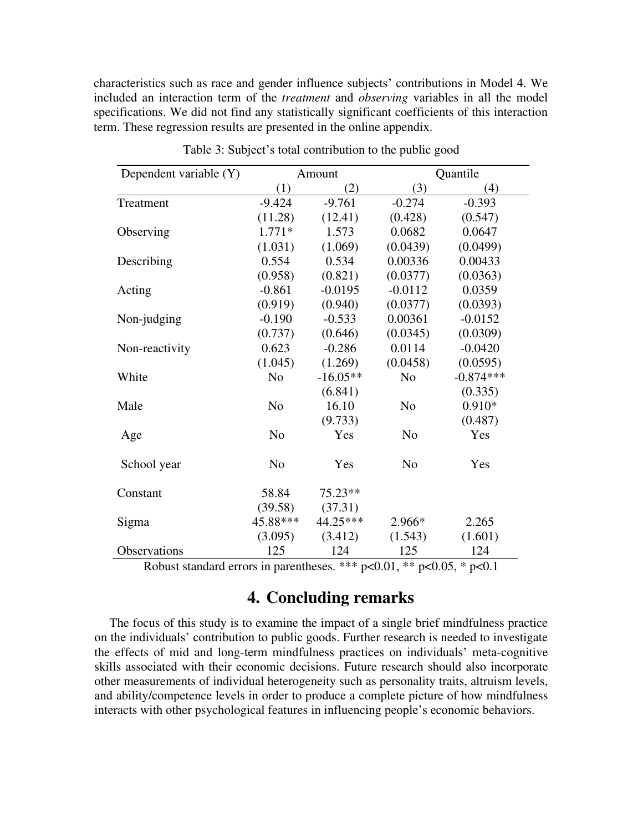characteristics such as race and gender influence subjects' contributions in Model 4. We included an interaction term of the *treatment* and *observing* variables in all the model specifications. We did not find any statistically significant coefficients of this interaction term. These regression results are presented in the online appendix.

| Dependent variable (Y) | Amount         |            | Quantile       |             |  |
|------------------------|----------------|------------|----------------|-------------|--|
|                        | (1)            | (2)        | (3)            | (4)         |  |
| Treatment              | $-9.424$       | $-9.761$   | $-0.274$       | $-0.393$    |  |
|                        | (11.28)        | (12.41)    | (0.428)        | (0.547)     |  |
| Observing              | $1.771*$       | 1.573      | 0.0682         | 0.0647      |  |
|                        | (1.031)        | (1.069)    | (0.0439)       | (0.0499)    |  |
| Describing             | 0.554          | 0.534      | 0.00336        | 0.00433     |  |
|                        | (0.958)        | (0.821)    | (0.0377)       | (0.0363)    |  |
| Acting                 | $-0.861$       | $-0.0195$  | $-0.0112$      | 0.0359      |  |
|                        | (0.919)        | (0.940)    | (0.0377)       | (0.0393)    |  |
| Non-judging            | $-0.190$       | $-0.533$   | 0.00361        | $-0.0152$   |  |
|                        | (0.737)        | (0.646)    | (0.0345)       | (0.0309)    |  |
| Non-reactivity         | 0.623          | $-0.286$   | 0.0114         | $-0.0420$   |  |
|                        | (1.045)        | (1.269)    | (0.0458)       | (0.0595)    |  |
| White                  | N <sub>o</sub> | $-16.05**$ | N <sub>o</sub> | $-0.874***$ |  |
|                        |                | (6.841)    |                | (0.335)     |  |
| Male                   | N <sub>o</sub> | 16.10      | N <sub>o</sub> | $0.910*$    |  |
|                        |                | (9.733)    |                | (0.487)     |  |
| Age                    | N <sub>0</sub> | Yes        | N <sub>0</sub> | Yes         |  |
| School year            | N <sub>o</sub> | Yes        | N <sub>o</sub> | Yes         |  |
| Constant               | 58.84          | $75.23**$  |                |             |  |
|                        | (39.58)        | (37.31)    |                |             |  |
| Sigma                  | 45.88***       | 44.25***   | 2.966*         | 2.265       |  |
|                        | (3.095)        | (3.412)    | (1.543)        | (1.601)     |  |
| Observations           | 125            | 124        | 125            | 124         |  |

Table 3: Subject's total contribution to the public good

Robust standard errors in parentheses. \*\*\*  $p<0.01$ , \*\*  $p<0.05$ , \*  $p<0.1$ 

### **4. Concluding remarks**

The focus of this study is to examine the impact of a single brief mindfulness practice on the individuals' contribution to public goods. Further research is needed to investigate the effects of mid and long-term mindfulness practices on individuals' meta-cognitive skills associated with their economic decisions. Future research should also incorporate other measurements of individual heterogeneity such as personality traits, altruism levels, and ability/competence levels in order to produce a complete picture of how mindfulness interacts with other psychological features in influencing people's economic behaviors.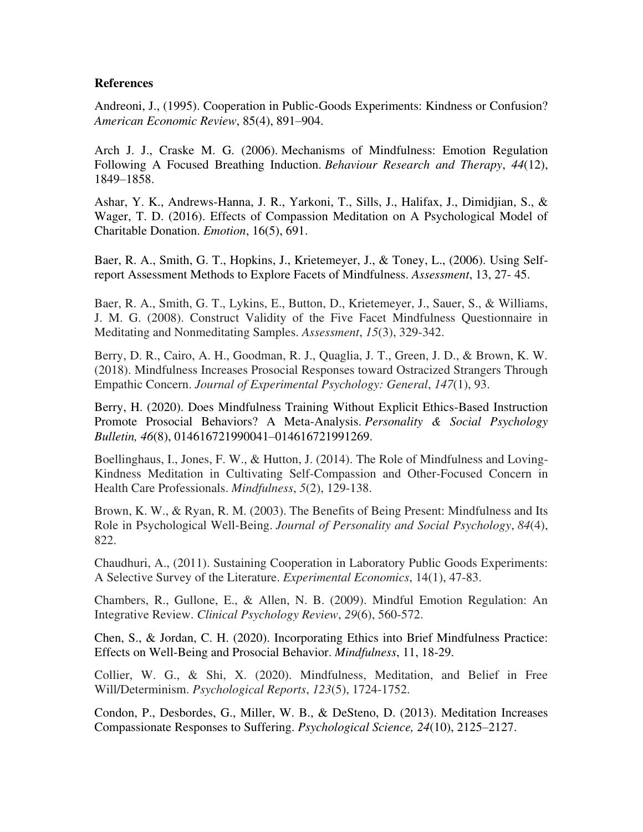#### **References**

Andreoni, J., (1995). Cooperation in Public-Goods Experiments: Kindness or Confusion? *American Economic Review*, 85(4), 891–904.

Arch J. J., Craske M. G. (2006). Mechanisms of Mindfulness: Emotion Regulation Following A Focused Breathing Induction. *Behaviour Research and Therapy*, *44*(12), 1849–1858.

Ashar, Y. K., Andrews-Hanna, J. R., Yarkoni, T., Sills, J., Halifax, J., Dimidjian, S., & Wager, T. D. (2016). Effects of Compassion Meditation on A Psychological Model of Charitable Donation. *Emotion*, 16(5), 691.

Baer, R. A., Smith, G. T., Hopkins, J., Krietemeyer, J., & Toney, L., (2006). Using Selfreport Assessment Methods to Explore Facets of Mindfulness. *Assessment*, 13, 27- 45.

Baer, R. A., Smith, G. T., Lykins, E., Button, D., Krietemeyer, J., Sauer, S., & Williams, J. M. G. (2008). Construct Validity of the Five Facet Mindfulness Questionnaire in Meditating and Nonmeditating Samples. *Assessment*, *15*(3), 329-342.

Berry, D. R., Cairo, A. H., Goodman, R. J., Quaglia, J. T., Green, J. D., & Brown, K. W. (2018). Mindfulness Increases Prosocial Responses toward Ostracized Strangers Through Empathic Concern. *Journal of Experimental Psychology: General*, *147*(1), 93.

Berry, H. (2020). Does Mindfulness Training Without Explicit Ethics-Based Instruction Promote Prosocial Behaviors? A Meta-Analysis. *Personality & Social Psychology Bulletin, 46*(8), 014616721990041–014616721991269.

Boellinghaus, I., Jones, F. W., & Hutton, J. (2014). The Role of Mindfulness and Loving-Kindness Meditation in Cultivating Self-Compassion and Other-Focused Concern in Health Care Professionals. *Mindfulness*, *5*(2), 129-138.

Brown, K. W., & Ryan, R. M. (2003). The Benefits of Being Present: Mindfulness and Its Role in Psychological Well-Being. *Journal of Personality and Social Psychology*, *84*(4), 822.

Chaudhuri, A., (2011). Sustaining Cooperation in Laboratory Public Goods Experiments: A Selective Survey of the Literature. *Experimental Economics*, 14(1), 47-83.

Chambers, R., Gullone, E., & Allen, N. B. (2009). Mindful Emotion Regulation: An Integrative Review. *Clinical Psychology Review*, *29*(6), 560-572.

Chen, S., & Jordan, C. H. (2020). Incorporating Ethics into Brief Mindfulness Practice: Effects on Well-Being and Prosocial Behavior. *Mindfulness*, 11, 18-29.

Collier, W. G., & Shi, X. (2020). Mindfulness, Meditation, and Belief in Free Will/Determinism. *Psychological Reports*, *123*(5), 1724-1752.

Condon, P., Desbordes, G., Miller, W. B., & DeSteno, D. (2013). Meditation Increases Compassionate Responses to Suffering. *Psychological Science, 24*(10), 2125–2127.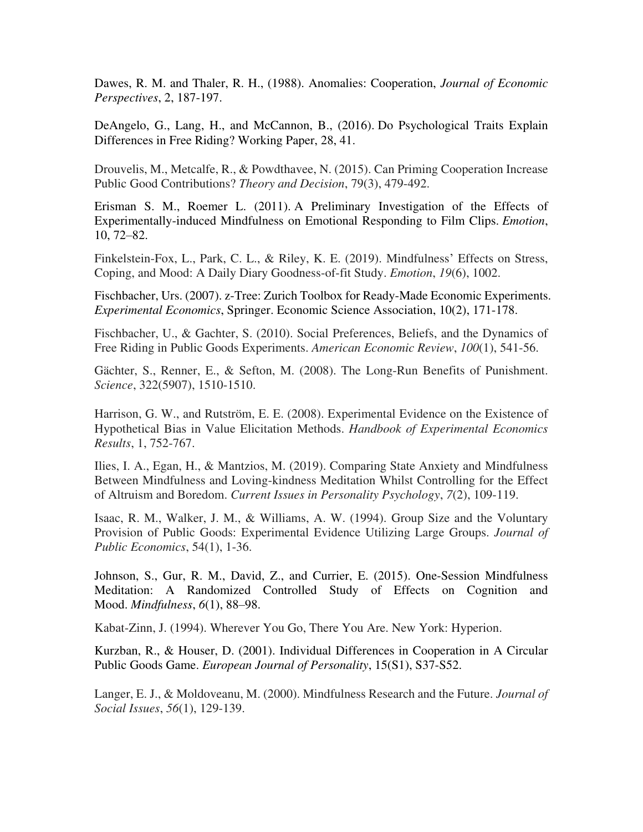Dawes, R. M. and Thaler, R. H., (1988). Anomalies: Cooperation, *Journal of Economic Perspectives*, 2, 187-197.

DeAngelo, G., Lang, H., and McCannon, B., (2016). Do Psychological Traits Explain Differences in Free Riding? Working Paper, 28, 41.

Drouvelis, M., Metcalfe, R., & Powdthavee, N. (2015). Can Priming Cooperation Increase Public Good Contributions? *Theory and Decision*, 79(3), 479-492.

Erisman S. M., Roemer L. (2011). A Preliminary Investigation of the Effects of Experimentally-induced Mindfulness on Emotional Responding to Film Clips. *Emotion*, 10, 72–82.

Finkelstein-Fox, L., Park, C. L., & Riley, K. E. (2019). Mindfulness' Effects on Stress, Coping, and Mood: A Daily Diary Goodness-of-fit Study. *Emotion*, *19*(6), 1002.

Fischbacher, Urs. (2007). z-Tree: Zurich Toolbox for Ready-Made Economic Experiments. *Experimental Economics*, Springer. Economic Science Association, 10(2), 171-178.

Fischbacher, U., & Gachter, S. (2010). Social Preferences, Beliefs, and the Dynamics of Free Riding in Public Goods Experiments. *American Economic Review*, *100*(1), 541-56.

Gächter, S., Renner, E., & Sefton, M. (2008). The Long-Run Benefits of Punishment. *Science*, 322(5907), 1510-1510.

Harrison, G. W., and Rutström, E. E. (2008). Experimental Evidence on the Existence of Hypothetical Bias in Value Elicitation Methods. *Handbook of Experimental Economics Results*, 1, 752-767.

Ilies, I. A., Egan, H., & Mantzios, M. (2019). Comparing State Anxiety and Mindfulness Between Mindfulness and Loving-kindness Meditation Whilst Controlling for the Effect of Altruism and Boredom. *Current Issues in Personality Psychology*, *7*(2), 109-119.

Isaac, R. M., Walker, J. M., & Williams, A. W. (1994). Group Size and the Voluntary Provision of Public Goods: Experimental Evidence Utilizing Large Groups. *Journal of Public Economics*, 54(1), 1-36.

Johnson, S., Gur, R. M., David, Z., and Currier, E. (2015). One-Session Mindfulness Meditation: A Randomized Controlled Study of Effects on Cognition and Mood. *Mindfulness*, *6*(1), 88–98.

Kabat-Zinn, J. (1994). Wherever You Go, There You Are. New York: Hyperion.

Kurzban, R., & Houser, D. (2001). Individual Differences in Cooperation in A Circular Public Goods Game. *European Journal of Personality*, 15(S1), S37-S52.

Langer, E. J., & Moldoveanu, M. (2000). Mindfulness Research and the Future. *Journal of Social Issues*, *56*(1), 129-139.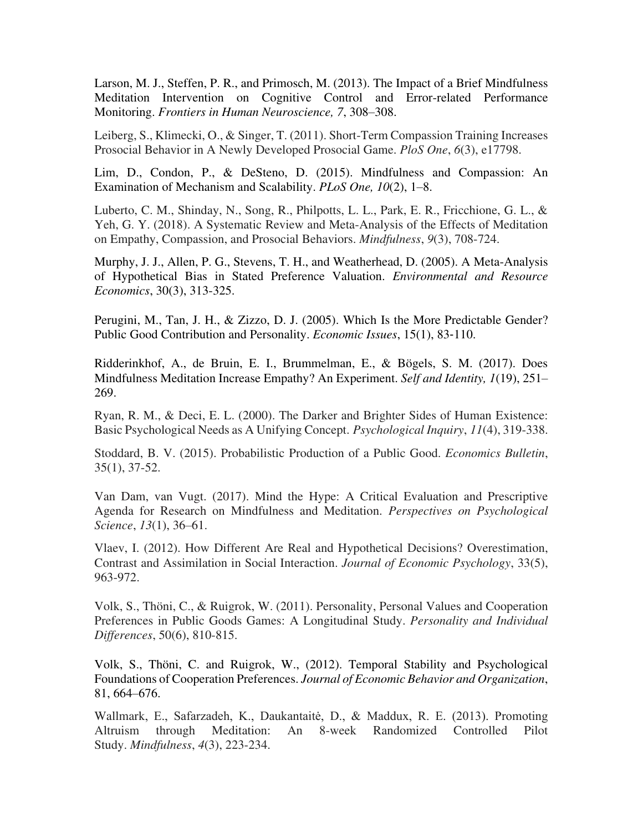Larson, M. J., Steffen, P. R., and Primosch, M. (2013). The Impact of a Brief Mindfulness Meditation Intervention on Cognitive Control and Error-related Performance Monitoring. *Frontiers in Human Neuroscience, 7*, 308–308.

Leiberg, S., Klimecki, O., & Singer, T. (2011). Short-Term Compassion Training Increases Prosocial Behavior in A Newly Developed Prosocial Game. *PloS One*, *6*(3), e17798.

Lim, D., Condon, P., & DeSteno, D. (2015). Mindfulness and Compassion: An Examination of Mechanism and Scalability. *PLoS One, 10*(2), 1–8.

Luberto, C. M., Shinday, N., Song, R., Philpotts, L. L., Park, E. R., Fricchione, G. L., & Yeh, G. Y. (2018). A Systematic Review and Meta-Analysis of the Effects of Meditation on Empathy, Compassion, and Prosocial Behaviors. *Mindfulness*, *9*(3), 708-724.

Murphy, J. J., Allen, P. G., Stevens, T. H., and Weatherhead, D. (2005). A Meta-Analysis of Hypothetical Bias in Stated Preference Valuation. *Environmental and Resource Economics*, 30(3), 313-325.

Perugini, M., Tan, J. H., & Zizzo, D. J. (2005). Which Is the More Predictable Gender? Public Good Contribution and Personality. *Economic Issues*, 15(1), 83‐110.

Ridderinkhof, A., de Bruin, E. I., Brummelman, E., & Bögels, S. M. (2017). Does Mindfulness Meditation Increase Empathy? An Experiment. *Self and Identity, 1*(19), 251– 269.

Ryan, R. M., & Deci, E. L. (2000). The Darker and Brighter Sides of Human Existence: Basic Psychological Needs as A Unifying Concept. *Psychological Inquiry*, *11*(4), 319-338.

Stoddard, B. V. (2015). Probabilistic Production of a Public Good. *Economics Bulletin*, 35(1), 37-52.

Van Dam, van Vugt. (2017). Mind the Hype: A Critical Evaluation and Prescriptive Agenda for Research on Mindfulness and Meditation. *Perspectives on Psychological Science*, *13*(1), 36–61.

Vlaev, I. (2012). How Different Are Real and Hypothetical Decisions? Overestimation, Contrast and Assimilation in Social Interaction. *Journal of Economic Psychology*, 33(5), 963-972.

Volk, S., Thöni, C., & Ruigrok, W. (2011). Personality, Personal Values and Cooperation Preferences in Public Goods Games: A Longitudinal Study. *Personality and Individual Differences*, 50(6), 810-815.

Volk, S., Thöni, C. and Ruigrok, W., (2012). Temporal Stability and Psychological Foundations of Cooperation Preferences. *Journal of Economic Behavior and Organization*, 81, 664–676.

Wallmark, E., Safarzadeh, K., Daukantaitė, D., & Maddux, R. E. (2013). Promoting Altruism through Meditation: An 8-week Randomized Controlled Pilot Study. *Mindfulness*, *4*(3), 223-234.